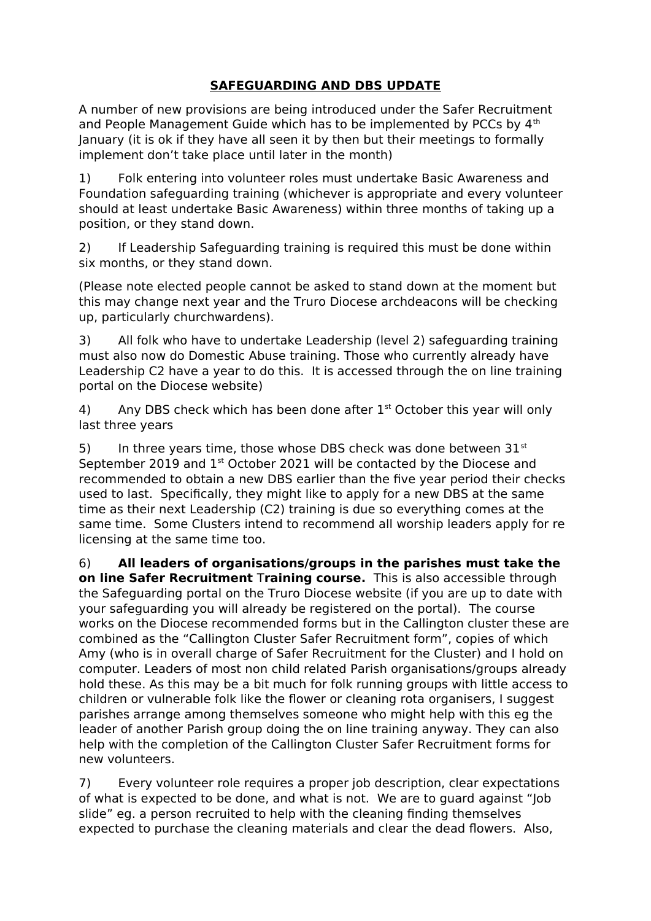## **SAFEGUARDING AND DBS UPDATE**

A number of new provisions are being introduced under the Safer Recruitment and People Management Guide which has to be implemented by PCCs by 4<sup>th</sup> January (it is ok if they have all seen it by then but their meetings to formally implement don't take place until later in the month)

1) Folk entering into volunteer roles must undertake Basic Awareness and Foundation safeguarding training (whichever is appropriate and every volunteer should at least undertake Basic Awareness) within three months of taking up a position, or they stand down.

2) If Leadership Safeguarding training is required this must be done within six months, or they stand down.

(Please note elected people cannot be asked to stand down at the moment but this may change next year and the Truro Diocese archdeacons will be checking up, particularly churchwardens).

3) All folk who have to undertake Leadership (level 2) safeguarding training must also now do Domestic Abuse training. Those who currently already have Leadership C2 have a year to do this. It is accessed through the on line training portal on the Diocese website)

4) Any DBS check which has been done after  $1<sup>st</sup>$  October this year will only last three years

5) In three years time, those whose DBS check was done between  $31^{st}$ September 2019 and 1<sup>st</sup> October 2021 will be contacted by the Diocese and recommended to obtain a new DBS earlier than the five year period their checks used to last. Specifically, they might like to apply for a new DBS at the same time as their next Leadership (C2) training is due so everything comes at the same time. Some Clusters intend to recommend all worship leaders apply for re licensing at the same time too.

6) **All leaders of organisations/groups in the parishes must take the on line Safer Recruitment** T**raining course.** This is also accessible through the Safeguarding portal on the Truro Diocese website (if you are up to date with your safeguarding you will already be registered on the portal). The course works on the Diocese recommended forms but in the Callington cluster these are combined as the "Callington Cluster Safer Recruitment form", copies of which Amy (who is in overall charge of Safer Recruitment for the Cluster) and I hold on computer. Leaders of most non child related Parish organisations/groups already hold these. As this may be a bit much for folk running groups with little access to children or vulnerable folk like the flower or cleaning rota organisers, I suggest parishes arrange among themselves someone who might help with this eg the leader of another Parish group doing the on line training anyway. They can also help with the completion of the Callington Cluster Safer Recruitment forms for new volunteers.

7) Every volunteer role requires a proper job description, clear expectations of what is expected to be done, and what is not. We are to guard against "Job slide" eg. a person recruited to help with the cleaning finding themselves expected to purchase the cleaning materials and clear the dead flowers. Also,